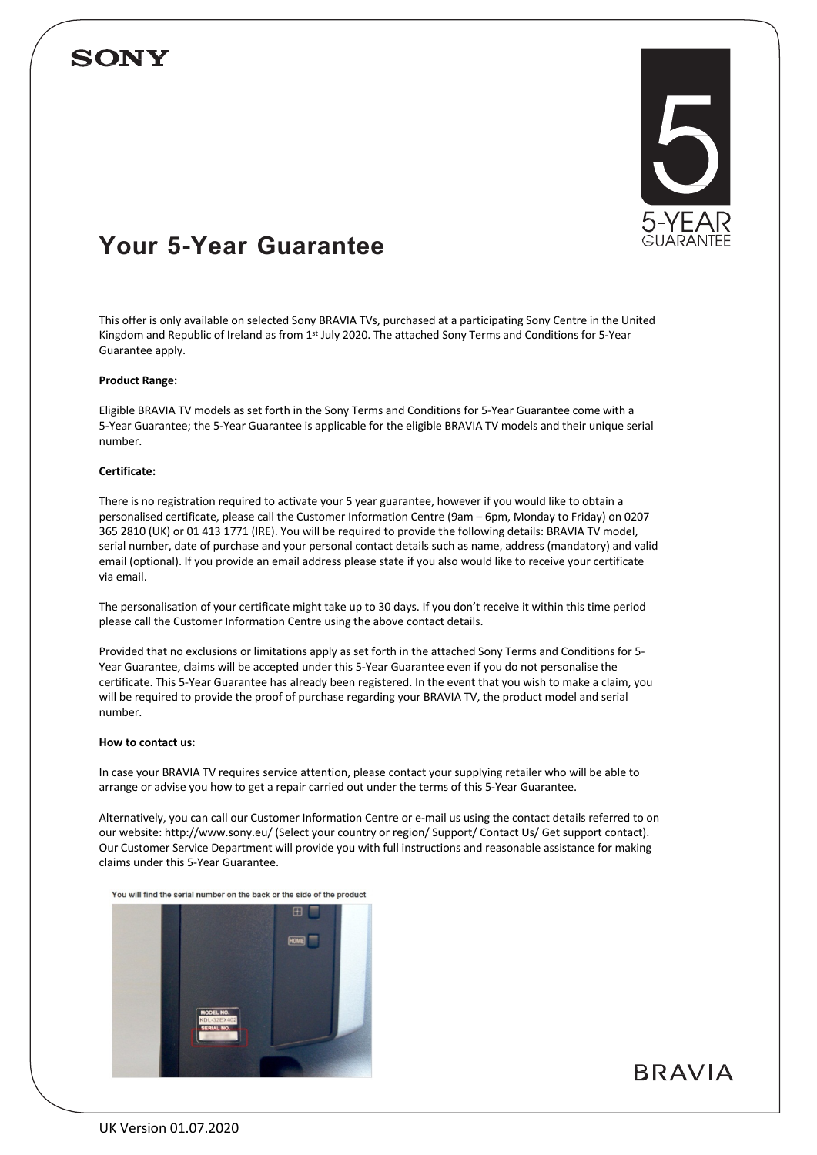# **SONY**



# **Your 5-Year Guarantee**

This offer is only available on selected Sony BRAVIA TVs, purchased at a participating Sony Centre in the United Kingdom and Republic of Ireland as from 1st July 2020. The attached Sony Terms and Conditions for 5-Year Guarantee apply.

# **Product Range:**

Eligible BRAVIA TV models as set forth in the Sony Terms and Conditions for 5-Year Guarantee come with a 5-Year Guarantee; the 5-Year Guarantee is applicable for the eligible BRAVIA TV models and their unique serial number.

# **Certificate:**

There is no registration required to activate your 5 year guarantee, however if you would like to obtain a personalised certificate, please call the Customer Information Centre (9am – 6pm, Monday to Friday) on 0207 365 2810 (UK) or 01 413 1771 (IRE). You will be required to provide the following details: BRAVIA TV model, serial number, date of purchase and your personal contact details such as name, address (mandatory) and valid email (optional). If you provide an email address please state if you also would like to receive your certificate via email.

The personalisation of your certificate might take up to 30 days. If you don't receive it within this time period please call the Customer Information Centre using the above contact details.

Provided that no exclusions or limitations apply as set forth in the attached Sony Terms and Conditions for 5- Year Guarantee, claims will be accepted under this 5-Year Guarantee even if you do not personalise the certificate. This 5-Year Guarantee has already been registered. In the event that you wish to make a claim, you will be required to provide the proof of purchase regarding your BRAVIA TV, the product model and serial number.

# **How to contact us:**

In case your BRAVIA TV requires service attention, please contact your supplying retailer who will be able to arrange or advise you how to get a repair carried out under the terms of this 5-Year Guarantee.

Alternatively, you can call our Customer Information Centre or e-mail us using the contact details referred to on our website: http://www.sony.eu/ (Select your country or region/ Support/ Contact Us/ Get support contact). Our Customer Service Department will provide you with full instructions and reasonable assistance for making claims under this 5-Year Guarantee.

You will find the serial number on the back or the side of the product